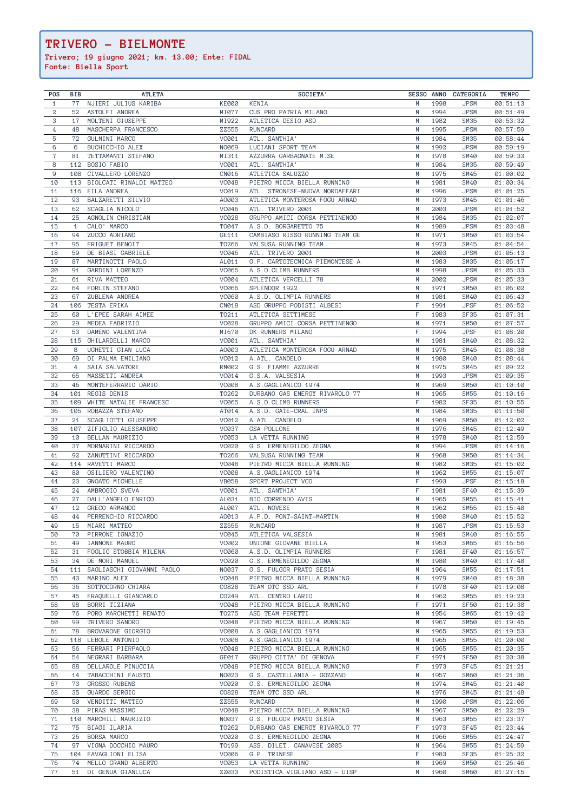| <b>POS</b>     | <b>BIB</b> | <b>ATLETA</b>             |              | SOCIETA'                       |   |      | SESSO ANNO CATEGORIA | <b>TEMPO</b> |
|----------------|------------|---------------------------|--------------|--------------------------------|---|------|----------------------|--------------|
| $\mathbf{1}$   | 77         | NJIERI JULIUS KARIBA      | <b>KE000</b> | KENIA                          | M | 1998 | <b>JPSM</b>          | 00:51:13     |
| $\mathbf 2$    | 52         | ASTOLFI ANDREA            | MI077        | CUS PRO PATRIA MILANO          | M | 1994 | <b>JPSM</b>          | 00:51:49     |
| 3              | 17         | MOLTENI GIUSEPPE          | MI922        | ATLETICA DESIO ASD             | M | 1982 | SM35                 | 00:53:32     |
| $\overline{4}$ | 48         | MASCHERPA FRANCESCO       | ZZ555        | <b>RUNCARD</b>                 | M | 1995 | <b>JPSM</b>          | 00:57:59     |
| 5              | 72         | GULMINI MARCO             | <b>VC001</b> | ATL. SANTHIA'                  | M | 1984 | <b>SM35</b>          | 00:58:44     |
| $6\,$          | 6          | BUCHICCHIO ALEX           | N0069        | LUCIANI SPORT TEAM             | M | 1992 | <b>JPSM</b>          | 00:59:19     |
| $\mathbf 7$    | 81         | TETTAMANTI STEFANO        | MI311        | AZZURRA GARBAGNATE M.SE        | M | 1978 | <b>SM40</b>          | 00:59:33     |
| 8              | 112        | BOSIO FABIO               | <b>VC001</b> | ATL. SANTHIA'                  | M | 1984 | SM35                 | 00:59:49     |
| 9              |            | 108 CIVALLERO LORENZO     | CN016        | ATLETICA SALUZZO               | M | 1975 | SM45                 | 01:00:02     |
| 10             | 113        | BIOLCATI RINALDI MATTEO   | <b>VC048</b> | PIETRO MICCA BIELLA RUNNING    | M | 1981 | <b>SM40</b>          | 01:00:34     |
| 11             | 116        | FILA ANDREA               | <b>VC019</b> | ATL. STRONESE-NUOVA NORDAFFARI | M | 1996 | <b>JPSM</b>          | 01:01:25     |
| 12             | 93         | BALZARETTI SILVIO         | A0003        | ATLETICA MONTEROSA FOGU ARNAD  | M | 1973 | SM45                 | 01:01:46     |
| 13             | 62         | SCAGLIA NICOLO'           | <b>VC046</b> | ATL. TRIVERO 2001              | M | 2003 | <b>JPSM</b>          | 01:01:52     |
| 14             | 25         | AGNOLIN CHRISTIAN         | <b>VC028</b> | GRUPPO AMICI CORSA PETTINENGO  | M | 1984 | SM35                 | 01:02:07     |
| 15             | 1          | CALO' MARCO               | T0047        | A.S.D. BORGARETTO 75           | M | 1989 | <b>JPSM</b>          | 01:03:48     |
| 16             | 94         | ZUCCO ADRIANO             | GE111        | CAMBIASO RISSO RUNNING TEAM GE | M | 1971 | <b>SM50</b>          | 01:03:54     |
| 17             | 95         | FRIGUET BENOIT            | T0266        | VALSUSA RUNNING TEAM           | M | 1973 | SM45                 | 01:04:54     |
| 18             | 59         | DE BIASI GABRIELE         | <b>VC046</b> | ATL. TRIVERO 2001              | M | 2003 | <b>JPSM</b>          | 01:05:13     |
| 19             | 87         | MARTINOTTI PAOLO          | AL011        | G.P. CARTOTECNICA PIEMONTESE A | M | 1983 | SM35                 | 01:05:17     |
|                | 91         |                           |              | A.S.D.CLIMB RUNNERS            | M |      |                      |              |
| 20             |            | GARDINI LORENZO           | <b>VC065</b> |                                |   | 1998 | <b>JPSM</b>          | 01:05:33     |
| 21             | 61         | RIVA MATTEO               | <b>VC004</b> | ATLETICA VERCELLI 78           | M | 2002 | <b>JPSM</b>          | 01:05:33     |
| 22             | 64         | FORLIN STEFANO            | <b>VC066</b> | SPLENDOR 1922                  | M | 1971 | <b>SM50</b>          | 01:06:02     |
| 23             | 67         | ZUBLENA ANDREA            | <b>VC060</b> | A.S.D. OLIMPIA RUNNERS         | M | 1981 | SM40                 | 01:06:43     |
| 24             | 106        | TESTA ERIKA               | CN018        | ASD GRUPPO PODISTI ALBESI      | F | 1991 | <b>JPSF</b>          | 01:06:52     |
| 25             | 60         | L'EPEE SARAH AIMEE        | T0211        | ATLETICA SETTIMESE             | F | 1983 | <b>SF35</b>          | 01:07:31     |
| 26             | 29         | MEDEA FABRIZIO            | <b>VC028</b> | GRUPPO AMICI CORSA PETTINENGO  | M | 1971 | <b>SM50</b>          | 01:07:57     |
| 27             | 53         | DAMENO VALENTINA          | MI670        | DK RUNNERS MILANO              | F | 1994 | <b>JPSF</b>          | 01:08:20     |
| 28             | 115        | GHILARDELLI MARCO         | <b>VC001</b> | ATL. SANTHIA'                  | M | 1981 | <b>SM40</b>          | 01:08:32     |
| 29             | 8          | UGHETTI GIAN LUCA         | A0003        | ATLETICA MONTEROSA FOGU ARNAD  | M | 1975 | SM45                 | 01:08:38     |
| 30             | 69         | DI PALMA EMILIANO         | <b>VC012</b> | A.ATL. CANDELO                 | M | 1980 | <b>SM40</b>          | 01:08:44     |
| 31             | 4          | SAIA SALVATORE            | RM002        | G.S. FIAMME AZZURRE            | M | 1975 | SM45                 | 01:09:22     |
| 32             | 65         | MASSETTI ANDREA           | <b>VC014</b> | G.S.A. VALSESIA                | M | 1993 | <b>JPSM</b>          | 01:09:35     |
| 33             | 46         | MONTEFERRARIO DARIO       | <b>VC008</b> | A.S.GAGLIANICO 1974            | M | 1969 | <b>SM50</b>          | 01:10:10     |
| 34             | 101        | REGIS DENIS               | T0262        | DURBANO GAS ENERGY RIVAROLO 77 | M | 1965 | <b>SM55</b>          | 01:10:16     |
| 35             | 109        | WHITE NATALIE FRANCESC    | <b>VC065</b> | A.S.D.CLIMB RUNNERS            | F | 1982 | <b>SF35</b>          | 01:10:55     |
| 36             | 105        | ROBAZZA STEFANO           | AT014        | A.S.D. GATE-CRAL INPS          | M | 1984 | <b>SM35</b>          | 01:11:50     |
| 37             | 21         | SCAGLIOTTI GIUSEPPE       | VC012        | A.ATL. CANDELO                 | M | 1969 | <b>SM50</b>          | 01:12:02     |
| 38             | 107        | ZIFIGLIO ALESSANDRO       | <b>VC037</b> | <b>GSA POLLONE</b>             | M | 1976 | SM45                 | 01:12:49     |
| 39             | 10         | BELLAN MAURIZIO           | <b>VC053</b> | LA VETTA RUNNING               | M | 1978 | <b>SM40</b>          | 01:12:59     |
| 40             | 37         | MORNARINI RICCARDO        | <b>VC020</b> | G.S. ERMENEGILDO ZEGNA         | M | 1994 | <b>JPSM</b>          | 01:14:16     |
| 41             | 92         | ZANUTTINI RICCARDO        | T0266        | VALSUSA RUNNING TEAM           | M | 1968 | <b>SM50</b>          | 01:14:34     |
| 42             | 114        | RAVETTI MARCO             | <b>VC048</b> | PIETRO MICCA BIELLA RUNNING    | M | 1982 | <b>SM35</b>          | 01:15:02     |
| 43             | 80         | OSILIERO VALENTINO        | <b>VC008</b> | A.S.GAGLIANICO 1974            | M | 1962 | <b>SM55</b>          | 01:15:07     |
| 44             | 23         | GNOATO MICHELLE           | <b>VB058</b> | SPORT PROJECT VCO              | F | 1993 | <b>JPSF</b>          | 01:15:18     |
| 45             | 24         | AMBROGIO SVEVA            | <b>VC001</b> | ATL. SANTHIA'                  | F | 1981 | <b>SF40</b>          | 01:15:39     |
| 46             | 27         | DALL'ANGELO ENRICO        | AL031        | BIO CORRENDO AVIS              | M | 1965 | <b>SM55</b>          | 01:15:41     |
| 47             | 12         | GRECO ARMANDO             | AL007        | ATL. NOVESE                    | M | 1962 | <b>SM55</b>          | 01:15:48     |
| 48             | 44         | PERRENCHIO RICCARDO       | A0013        | A.P.D. PONT-SAINT-MARTIN       | M | 1980 | SM40                 | 01:15:52     |
| 49             | 15         | MIARI MATTEO              | ZZ555        | <b>RUNCARD</b>                 | M | 1987 | <b>JPSM</b>          | 01:15:53     |
| 50             | 70         | PIRRONE IGNAZIO           | <b>VC045</b> | ATLETICA VALSESIA              | M | 1981 | <b>SM40</b>          | 01:16:55     |
| 51             |            |                           | <b>VC002</b> |                                | M |      |                      |              |
|                | 49         | IANNONE MAURO             |              | UNIONE GIOVANE BIELLA          |   | 1953 | SM65                 | 01:16:56     |
| 52             | 31         | FOGLIO STOBBIA MILENA     | <b>VC060</b> | A.S.D. OLIMPIA RUNNERS         | F | 1981 | <b>SF40</b>          | 01:16:57     |
| 53             | 34         | DE MORI MANUEL            | <b>VC020</b> | G.S. ERMENEGILDO ZEGNA         | M | 1980 | <b>SM40</b>          | 01:17:48     |
| 54             | 111        | SAGLIASCHI GIOVANNI PAOLO | N0037        | G.S. FULGOR PRATO SESIA        | M | 1964 | <b>SM55</b>          | 01:17:51     |
| 55             | 43         | MARINO ALEX               | <b>VC048</b> | PIETRO MICCA BIELLA RUNNING    | M | 1979 | <b>SM40</b>          | 01:18:38     |
| 56             | 36         | SOTTOCORNO CHIARA         | C0828        | TEAM OTC SSD ARL               | F | 1978 | <b>SF40</b>          | 01:19:08     |
| 57             | 45         | FRAQUELLI GIANCARLO       | CO249        | ATL. CENTRO LARIO              | M | 1962 | <b>SM55</b>          | 01:19:23     |
| 58             | 98         | BORRI TIZIANA             | <b>VC048</b> | PIETRO MICCA BIELLA RUNNING    | F | 1971 | <b>SF50</b>          | 01:19:38     |
| 59             | 76         | PORO MARCHETTI RENATO     | T0275        | ASD TEAM PERETTI               | M | 1954 | <b>SM65</b>          | 01:19:42     |
| 60             | 99         | TRIVERO SANDRO            | <b>VC048</b> | PIETRO MICCA BIELLA RUNNING    | M | 1967 | <b>SM50</b>          | 01:19:45     |
| 61             | 78         | BROVARONE GIORGIO         | <b>VC008</b> | A.S.GAGLIANICO 1974            | M | 1965 | <b>SM55</b>          | 01:19:53     |
| 62             | 118        | LEBOLE ANTONIO            | <b>VC008</b> | A.S.GAGLIANICO 1974            | M | 1965 | <b>SM55</b>          | 01:20:00     |
| 63             | 56         | FERRARI PIERPAOLO         | <b>VC048</b> | PIETRO MICCA BIELLA RUNNING    | M | 1965 | <b>SM55</b>          | 01:20:35     |
| 64             | 54         | NEGRARI BARBARA           | GE017        | GRUPPO CITTA' DI GENOVA        | F | 1971 | <b>SF50</b>          | 01:20:38     |
| 65             | 88         | DELLAROLE PINUCCIA        | <b>VC048</b> | PIETRO MICCA BIELLA RUNNING    | F | 1973 | SF45                 | 01:21:21     |
| 66             | 14         | TABACCHINI FAUSTO         | N0023        | G.S. CASTELLANIA - GOZZANO     | M | 1957 | SM <sub>60</sub>     | 01:21:36     |
| 67             | 73         | <b>GROSSO RUBENS</b>      | <b>VC020</b> | G.S. ERMENEGILDO ZEGNA         | M | 1974 | <b>SM45</b>          | 01:21:40     |
| 68             | 35         | GUARDO SERGIO             | C0828        | TEAM OTC SSD ARL               | M | 1976 | <b>SM45</b>          | 01:21:48     |
| 69             | 50         | VENDITTI MATTEO           | ZZ555        | <b>RUNCARD</b>                 | M | 1990 | <b>JPSM</b>          | 01:22:06     |
| 70             | 38         | PIRAS MASSIMO             | <b>VC048</b> | PIETRO MICCA BIELLA RUNNING    | M | 1967 | <b>SM50</b>          | 01:22:29     |
| 71             | 110        | MARCHILI MAURIZIO         | N0037        | G.S. FULGOR PRATO SESIA        | M | 1963 | <b>SM55</b>          | 01:23:37     |
| 72             | 75         | BIAGI ILARIA              | T0262        | DURBANO GAS ENERGY RIVAROLO 77 | F | 1973 | <b>SF45</b>          | 01:23:44     |
| 73             | 26         | BORSA MARCO               | <b>VC020</b> | G.S. ERMENEGILDO ZEGNA         | M | 1966 | <b>SM55</b>          | 01:24:47     |
| 74             | 97         | VIGNA DOCCHIO MAURO       | T0199        | ASS. DILET. CANAVESE 2005      | M | 1964 | <b>SM55</b>          | 01:24:59     |
| 75             | 104        | FAVAGLIONI ELISA          | <b>VC006</b> | G.P. TRINESE                   | F | 1983 | SF <sub>35</sub>     | 01:25:32     |
| 76             | 74         | MELLO GRAND ALBERTO       | <b>VC053</b> | LA VETTA RUNNING               | M | 1969 | <b>SM50</b>          | 01:26:46     |
| 77             | 51         | DI GENUA GIANLUCA         | ZZ033        | PODISTICA VIGLIANO ASD - UISP  | M | 1960 | SM60                 | 01:27:15     |

## **TRIVERO - BIELMONTE**

**Trivero; 19 giugno 2021; km. 13.00; Ente: FIDAL Fonte: Biella Sport**